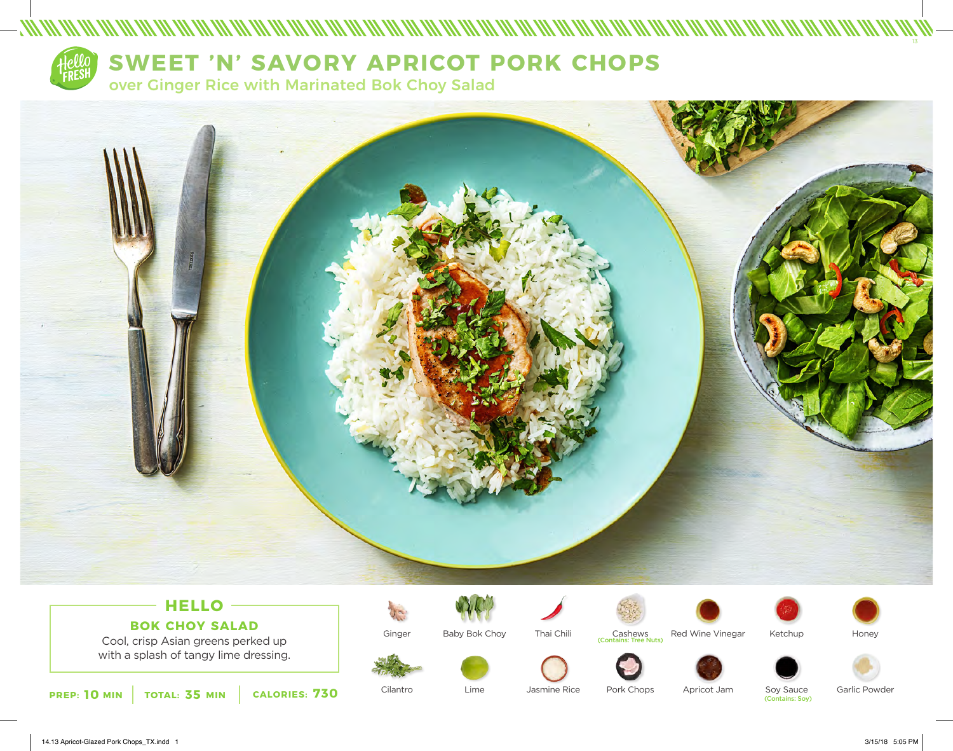

# **HELLO BOK CHOY SALAD**

Cool, crisp Asian greens perked up with a splash of tangy lime dressing.



Ginger

Cilantro



Lime



Jasmine Rice



Pork Chops



(uts





Apricot Jam Soy Sauce<br>(Contains: Soy)

Garlic Powder